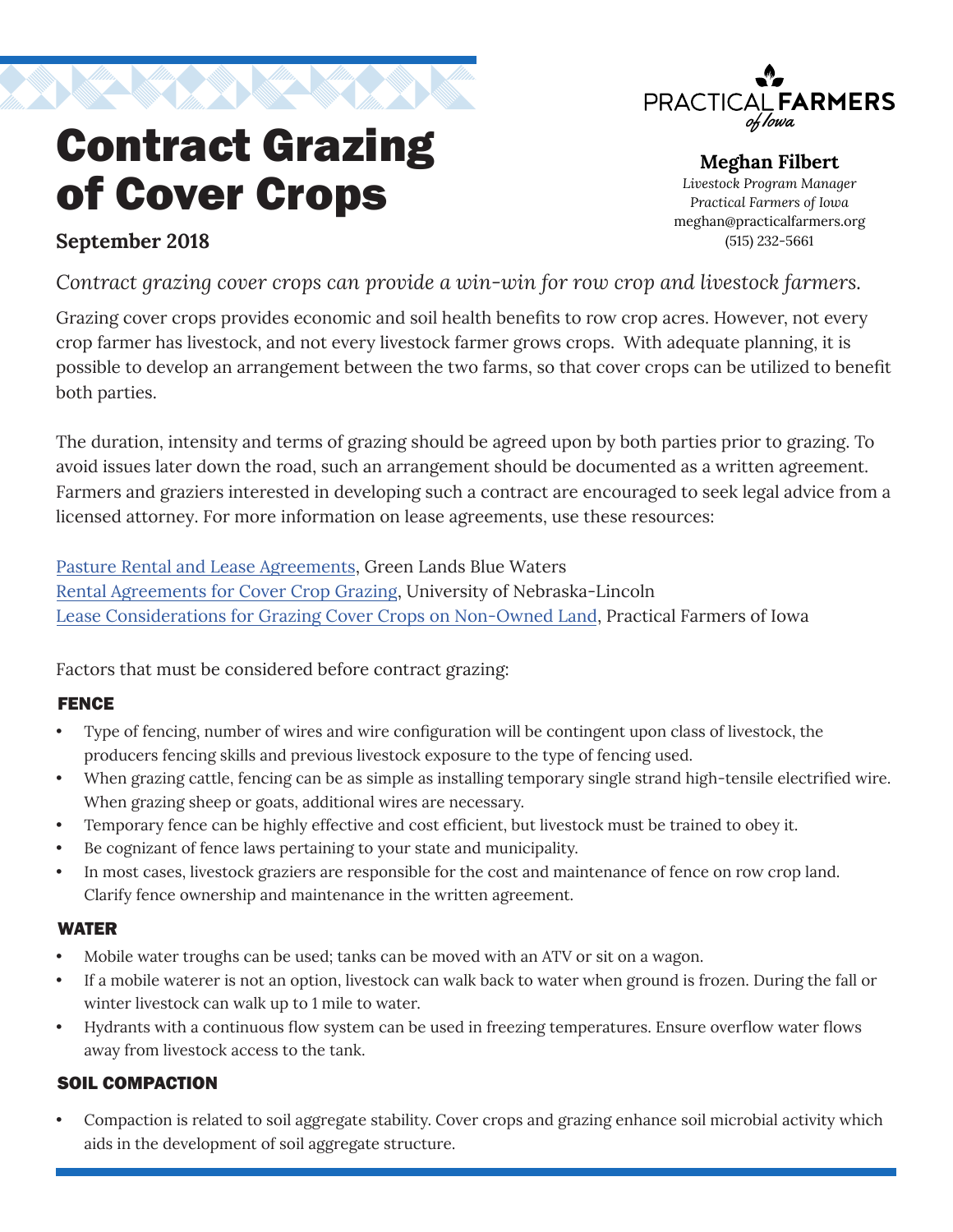

Contract Grazing

of Cover Crops

# PRACTICAL**FARMERS** of Iowa

#### **Meghan Filbert** *Livestock Program Manager Practical Farmers of Iowa* meghan@practicalfarmers.org (515) 232-5661

# **September 2018**

*Contract grazing cover crops can provide a win-win for row crop and livestock farmers.*

Grazing cover crops provides economic and soil health benefits to row crop acres. However, not every crop farmer has livestock, and not every livestock farmer grows crops. With adequate planning, it is possible to develop an arrangement between the two farms, so that cover crops can be utilized to benefit both parties.

The duration, intensity and terms of grazing should be agreed upon by both parties prior to grazing. To avoid issues later down the road, such an arrangement should be documented as a written agreement. Farmers and graziers interested in developing such a contract are encouraged to seek legal advice from a licensed attorney. For more information on lease agreements, use these resources:

[Pasture Rental and Lease Agreements,](https://greenlandsbluewaters.org/midwest-perennial-forage-working-group/#contract-grazing) Green Lands Blue Waters [Rental Agreements for Cover Crop Grazing,](https://agecon.unl.edu/cornhusker-economics/2015/rental-agreements-cover-crop-grazing) University of Nebraska-Lincoln [Lease Considerations for Grazing Cover Crops on Non-Owned Land,](https://practicalfarmers.org/wp-content/uploads/2018/10/Lease-Considerations-for-Grazing-Cover-Crops-on-Non-owned-Land-2013.pdf) Practical Farmers of Iowa

Factors that must be considered before contract grazing:

# FENCE

- Type of fencing, number of wires and wire configuration will be contingent upon class of livestock, the producers fencing skills and previous livestock exposure to the type of fencing used.
- When grazing cattle, fencing can be as simple as installing temporary single strand high-tensile electrified wire. When grazing sheep or goats, additional wires are necessary.
- Temporary fence can be highly effective and cost efficient, but livestock must be trained to obey it.
- Be cognizant of fence laws pertaining to your state and municipality.
- In most cases, livestock graziers are responsible for the cost and maintenance of fence on row crop land. Clarify fence ownership and maintenance in the written agreement.

#### WATER

- Mobile water troughs can be used; tanks can be moved with an ATV or sit on a wagon.
- If a mobile waterer is not an option, livestock can walk back to water when ground is frozen. During the fall or winter livestock can walk up to 1 mile to water.
- Hydrants with a continuous flow system can be used in freezing temperatures. Ensure overflow water flows away from livestock access to the tank.

#### SOIL COMPACTION

• Compaction is related to soil aggregate stability. Cover crops and grazing enhance soil microbial activity which aids in the development of soil aggregate structure.